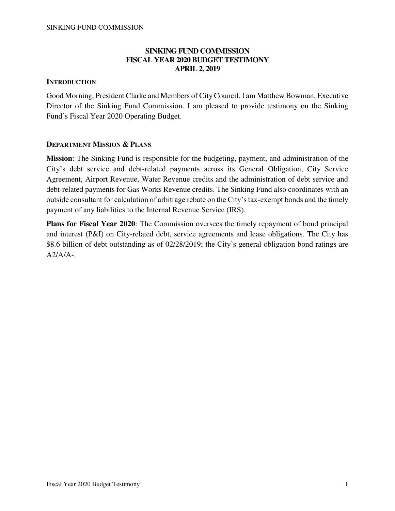# **SINKING FUND COMMISSION FISCAL YEAR 2020 BUDGET TESTIMONY APRIL 2, 2019**

# **INTRODUCTION**

Good Morning, President Clarke and Members of City Council. I am Matthew Bowman, Executive Director of the Sinking Fund Commission. I am pleased to provide testimony on the Sinking Fund's Fiscal Year 2020 Operating Budget.

# **DEPARTMENT MISSION & PLANS**

**Mission**: The Sinking Fund is responsible for the budgeting, payment, and administration of the City's debt service and debt-related payments across its General Obligation, City Service Agreement, Airport Revenue, Water Revenue credits and the administration of debt service and debt-related payments for Gas Works Revenue credits. The Sinking Fund also coordinates with an outside consultant for calculation of arbitrage rebate on the City's tax-exempt bonds and the timely payment of any liabilities to the Internal Revenue Service (IRS).

**Plans for Fiscal Year 2020**: The Commission oversees the timely repayment of bond principal and interest (P&I) on City-related debt, service agreements and lease obligations. The City has \$8.6 billion of debt outstanding as of 02/28/2019; the City's general obligation bond ratings are  $A2/A/A$ -.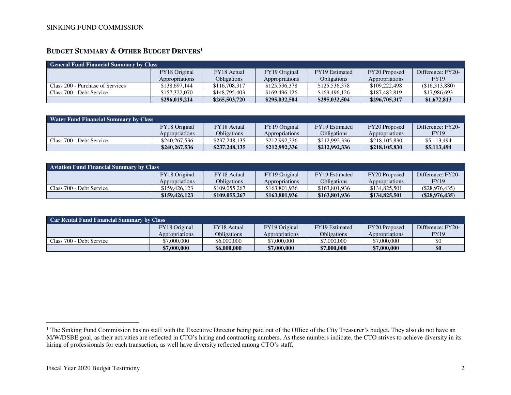# **BUDGET SUMMARY & OTHER BUDGET DRIVERS<sup>1</sup>**

| <b>General Fund Financial Summary by Class</b> |                |                    |                |                    |                |                   |
|------------------------------------------------|----------------|--------------------|----------------|--------------------|----------------|-------------------|
|                                                | FY18 Original  | FY18 Actual        | FY19 Original  | FY19 Estimated     | FY20 Proposed  | Difference: FY20- |
|                                                | Appropriations | <b>Obligations</b> | Appropriations | <b>Obligations</b> | Appropriations | <b>FY19</b>       |
| Class 200 - Purchase of Services               | \$138,697,144  | \$116,708,317      | \$125,536,378  | \$125,536,378      | \$109,222,498  | (\$16,313,880)    |
| Class 700 - Debt Service                       | \$157,322,070  | \$148,795,403      | \$169,496,126  | \$169,496,126      | \$187,482,819  | \$17,986,693      |
|                                                | \$296,019,214  | \$265,503,720      | \$295,032,504  | \$295,032,504      | \$296,705,317  | \$1,672,813       |

| <b>Water Fund Financial Summary by Class</b> |                |               |                |                    |                |                   |
|----------------------------------------------|----------------|---------------|----------------|--------------------|----------------|-------------------|
|                                              | FY18 Original  | FY18 Actual   | FY19 Original  | FY19 Estimated     | FY20 Proposed  | Difference: FY20- |
|                                              | Appropriations | Obligations   | Appropriations | <b>Obligations</b> | Appropriations | <b>FY19</b>       |
| Class 700 - Debt Service                     | \$240.267.536  | \$237,248,135 | \$212,992,336  | \$212,992,336      | \$218,105,830  | \$5,113,494       |
|                                              | \$240,267,536  | \$237,248,135 | \$212,992,336  | \$212,992,336      | \$218,105,830  | \$5,113,494       |

| <b>Aviation Fund Financial Summary by Class</b> |                |               |                |                    |                |                   |
|-------------------------------------------------|----------------|---------------|----------------|--------------------|----------------|-------------------|
|                                                 | FY18 Original  | FY18 Actual   | FY19 Original  | FY19 Estimated     | FY20 Proposed  | Difference: FY20- |
|                                                 | Appropriations | Obligations   | Appropriations | <b>Obligations</b> | Appropriations | <b>FY19</b>       |
| Class 700 - Debt Service                        | \$159,426,123  | \$109,055,267 | \$163,801,936  | \$163,801,936      | \$134,825,501  | $(\$28.976.435)$  |
|                                                 | \$159,426,123  | \$109,055,267 | \$163,801,936  | \$163,801,936      | \$134,825,501  | $(\$28,976,435)$  |

| Car Rental Fund Financial Summary by Class |                |                    |                |                    |                |                   |
|--------------------------------------------|----------------|--------------------|----------------|--------------------|----------------|-------------------|
|                                            | FY18 Original  | <b>FY18</b> Actual | FY19 Original  | FY19 Estimated     | FY20 Proposed  | Difference: FY20- |
|                                            | Appropriations | Obligations        | Appropriations | <b>Obligations</b> | Appropriations | <b>FY19</b>       |
| Class 700 - Debt Service                   | \$7,000,000    | \$6,000,000        | \$7,000,000    | \$7,000,000        | \$7,000,000    | \$0               |
|                                            | \$7,000,000    | \$6,000,000        | \$7,000,000    | \$7,000,000        | \$7,000,000    | \$0               |

 $\overline{a}$ 

<sup>&</sup>lt;sup>1</sup> The Sinking Fund Commission has no staff with the Executive Director being paid out of the Office of the City Treasurer's budget. They also do not have an M/W/DSBE goal, as their activities are reflected in CTO's hiring and contracting numbers. As these numbers indicate, the CTO strives to achieve diversity in its hiring of professionals for each transaction, as well have diversity reflected among CTO's staff.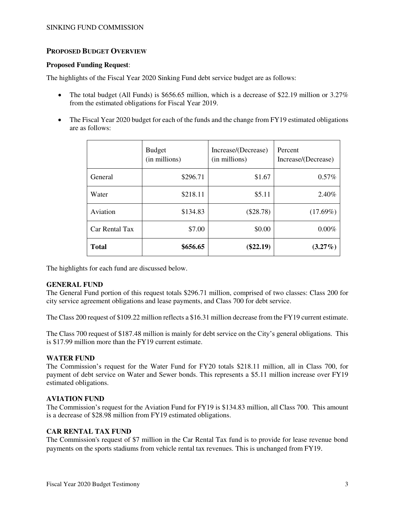#### SINKING FUND COMMISSION

### **PROPOSED BUDGET OVERVIEW**

#### **Proposed Funding Request**:

The highlights of the Fiscal Year 2020 Sinking Fund debt service budget are as follows:

- The total budget (All Funds) is \$656.65 million, which is a decrease of \$22.19 million or  $3.27\%$ from the estimated obligations for Fiscal Year 2019.
- The Fiscal Year 2020 budget for each of the funds and the change from FY19 estimated obligations are as follows:

|                | <b>Budget</b><br>(in millions) | Increase/(Decrease)<br>(in millions) | Percent<br>Increase/(Decrease) |
|----------------|--------------------------------|--------------------------------------|--------------------------------|
| General        | \$296.71                       | \$1.67                               | $0.57\%$                       |
| Water          | \$218.11                       | \$5.11                               | 2.40%                          |
| Aviation       | \$134.83                       | $(\$28.78)$                          | (17.69%)                       |
| Car Rental Tax | \$7.00                         | \$0.00                               | 0.00%                          |
| <b>Total</b>   | \$656.65                       | $(\$22.19)$                          | $(3.27\%)$                     |

The highlights for each fund are discussed below.

### **GENERAL FUND**

The General Fund portion of this request totals \$296.71 million, comprised of two classes: Class 200 for city service agreement obligations and lease payments, and Class 700 for debt service.

The Class 200 request of \$109.22 million reflects a \$16.31 million decrease from the FY19 current estimate.

The Class 700 request of \$187.48 million is mainly for debt service on the City's general obligations. This is \$17.99 million more than the FY19 current estimate.

### **WATER FUND**

The Commission's request for the Water Fund for FY20 totals \$218.11 million, all in Class 700, for payment of debt service on Water and Sewer bonds. This represents a \$5.11 million increase over FY19 estimated obligations.

### **AVIATION FUND**

The Commission's request for the Aviation Fund for FY19 is \$134.83 million, all Class 700. This amount is a decrease of \$28.98 million from FY19 estimated obligations.

### **CAR RENTAL TAX FUND**

The Commission's request of \$7 million in the Car Rental Tax fund is to provide for lease revenue bond payments on the sports stadiums from vehicle rental tax revenues. This is unchanged from FY19.